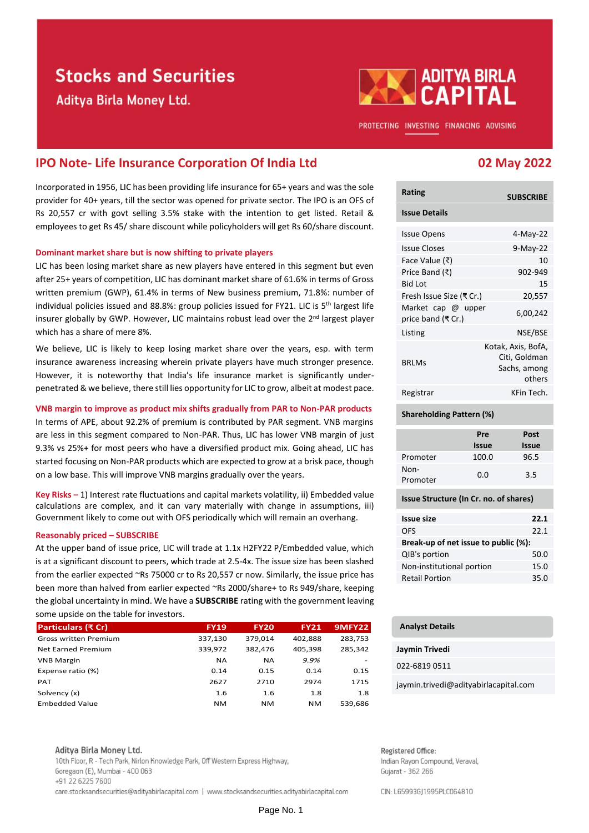# **Stocks and Securities**

Aditya Birla Money Ltd.



PROTECTING INVESTING FINANCING ADVISING

## **IPO Note- Life Insurance Corporation Of India Ltd 02 May 2022**

Incorporated in 1956, LIC has been providing life insurance for 65+ years and was the sole provider for 40+ years, till the sector was opened for private sector. The IPO is an OFS of Rs 20,557 cr with govt selling 3.5% stake with the intention to get listed. Retail & employees to get Rs 45/ share discount while policyholders will get Rs 60/share discount.

#### **Dominant market share but is now shifting to private players**

LIC has been losing market share as new players have entered in this segment but even after 25+ years of competition, LIC has dominant market share of 61.6% in terms of Gross written premium (GWP), 61.4% in terms of New business premium, 71.8%: number of individual policies issued and 88.8%: group policies issued for FY21. LIC is  $5<sup>th</sup>$  largest life insurer globally by GWP. However, LIC maintains robust lead over the 2<sup>nd</sup> largest player which has a share of mere 8%.

We believe, LIC is likely to keep losing market share over the years, esp. with term insurance awareness increasing wherein private players have much stronger presence. However, it is noteworthy that India's life insurance market is significantly underpenetrated & we believe, there still lies opportunity for LIC to grow, albeit at modest pace.

#### **VNB margin to improve as product mix shifts gradually from PAR to Non-PAR products**

In terms of APE, about 92.2% of premium is contributed by PAR segment. VNB margins are less in this segment compared to Non-PAR. Thus, LIC has lower VNB margin of just 9.3% vs 25%+ for most peers who have a diversified product mix. Going ahead, LIC has started focusing on Non-PAR products which are expected to grow at a brisk pace, though on a low base. This will improve VNB margins gradually over the years.

**Key Risks –** 1) Interest rate fluctuations and capital markets volatility, ii) Embedded value calculations are complex, and it can vary materially with change in assumptions, iii) Government likely to come out with OFS periodically which will remain an overhang.

#### **Reasonably priced – SUBSCRIBE**

At the upper band of issue price, LIC will trade at 1.1x H2FY22 P/Embedded value, which is at a significant discount to peers, which trade at 2.5-4x. The issue size has been slashed from the earlier expected ~Rs 75000 cr to Rs 20,557 cr now. Similarly, the issue price has been more than halved from earlier expected ~Rs 2000/share+ to Rs 949/share, keeping the global uncertainty in mind. We have a **SUBSCRIBE** rating with the government leaving some upside on the table for investors.

| Particulars (₹ Cr)           | <b>FY19</b> | <b>FY20</b> | <b>FY21</b> | 9MFY22  |
|------------------------------|-------------|-------------|-------------|---------|
| <b>Gross written Premium</b> | 337,130     | 379,014     | 402.888     | 283,753 |
| <b>Net Earned Premium</b>    | 339,972     | 382.476     | 405,398     | 285,342 |
| <b>VNB Margin</b>            | <b>NA</b>   | <b>NA</b>   | 9.9%        |         |
| Expense ratio (%)            | 0.14        | 0.15        | 0.14        | 0.15    |
| <b>PAT</b>                   | 2627        | 2710        | 2974        | 1715    |
| Solvency (x)                 | 1.6         | 1.6         | 1.8         | 1.8     |
| <b>Embedded Value</b>        | <b>NM</b>   | NM          | <b>NM</b>   | 539.686 |

#### Aditya Birla Money Ltd.

10th Floor, R - Tech Park, Nirlon Knowledge Park, Off Western Express Highway, Goregaon (E), Mumbai - 400 063 +91 22 6225 7600 care.stocksandsecurities@adityabirlacapital.com | www.stocksandsecurities.adityabirlacapital.com

| <b>Rating</b>                            | <b>SUBSCRIBE</b>                                              |
|------------------------------------------|---------------------------------------------------------------|
| <b>Issue Details</b>                     |                                                               |
| <b>Issue Opens</b>                       | 4-May-22                                                      |
| <b>Issue Closes</b>                      | 9-May-22                                                      |
| Face Value (₹)                           | 10                                                            |
| Price Band (₹)                           | 902-949                                                       |
| <b>Bid Lot</b>                           | 15                                                            |
| Fresh Issue Size (₹ Cr.)                 | 20,557                                                        |
| Market cap @ upper<br>price band (₹ Cr.) | 6,00,242                                                      |
| Listing                                  | NSE/BSE                                                       |
| <b>BRLMs</b>                             | Kotak, Axis, BofA,<br>Citi, Goldman<br>Sachs, among<br>others |
| Registrar                                | KFin Tech.                                                    |

### **Shareholding Pattern (%)**

|                  | Pre<br><b>Issue</b> | Post<br><b>Issue</b> |
|------------------|---------------------|----------------------|
| Promoter         | 100.0               | 96.5                 |
| Non-<br>Promoter | 0.0                 | 3.5                  |

#### **Issue Structure (In Cr. no. of shares)**

| <b>Issue size</b>                    | 22.1 |  |  |  |
|--------------------------------------|------|--|--|--|
| OFS                                  | 22.1 |  |  |  |
| Break-up of net issue to public (%): |      |  |  |  |
| QIB's portion                        | 50.0 |  |  |  |
| Non-institutional portion            | 15.0 |  |  |  |
| <b>Retail Portion</b>                | 35.0 |  |  |  |
|                                      |      |  |  |  |

#### **Analyst Details**

#### **Jaymin Trivedi**

022-6819 0511

jaymin.trivedi@adityabirlacapital.com

Registered Office: Indian Rayon Compound, Veraval, Gujarat - 362 266

CIN: L65993GJ1995PLC064810